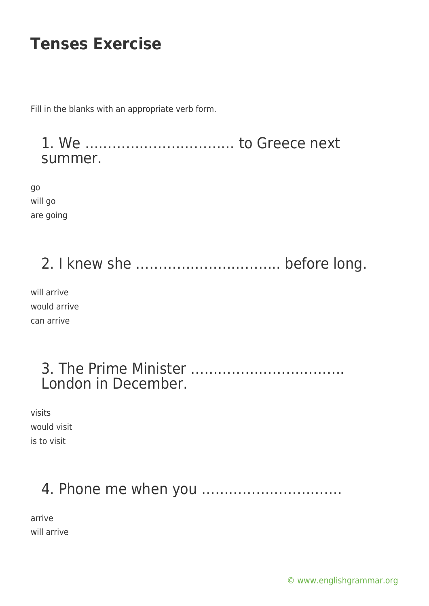Fill in the blanks with an appropriate verb form.

1. We …………………………… to Greece next summer.

go will go are going

# 2. I knew she ………………………….. before long.

will arrive would arrive can arrive

| London in December. |  |
|---------------------|--|

visits would visit is to visit

## 4. Phone me when you ………………………….

arrive will arrive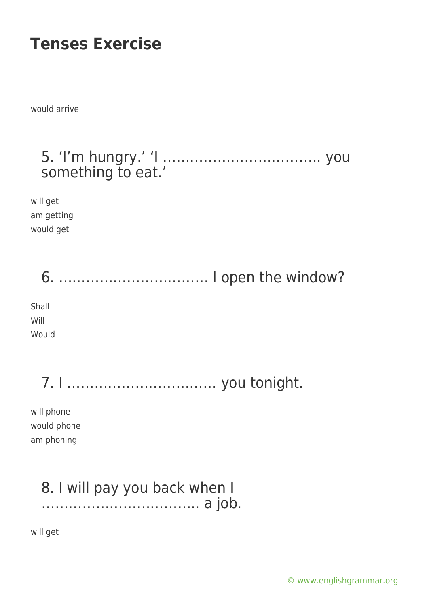would arrive

#### 5. 'I'm hungry.' 'I …………………………….. you something to eat.'

will get am getting would get

6. …………………………… I open the window? Shall Will Would

7. I …………………………… you tonight.

will phone would phone am phoning

#### 8. I will pay you back when I …………………………….. a job.

will get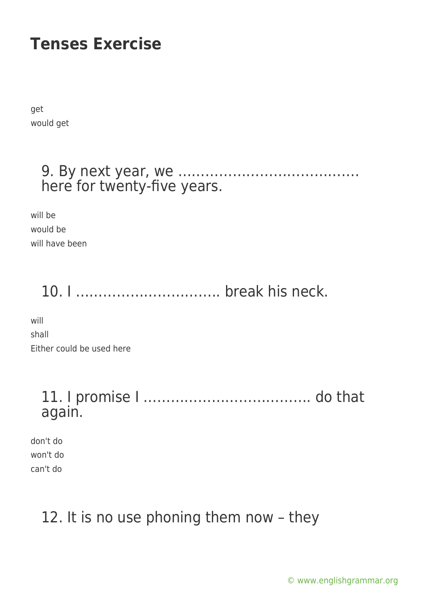get would get

#### 9. By next year, we …………………………………. here for twenty-five years.

will be would be will have been

## 10. I ………………………….. break his neck.

will shall Either could be used here

### 11. I promise I ………………………………. do that again.

don't do won't do can't do

### 12. It is no use phoning them now – they